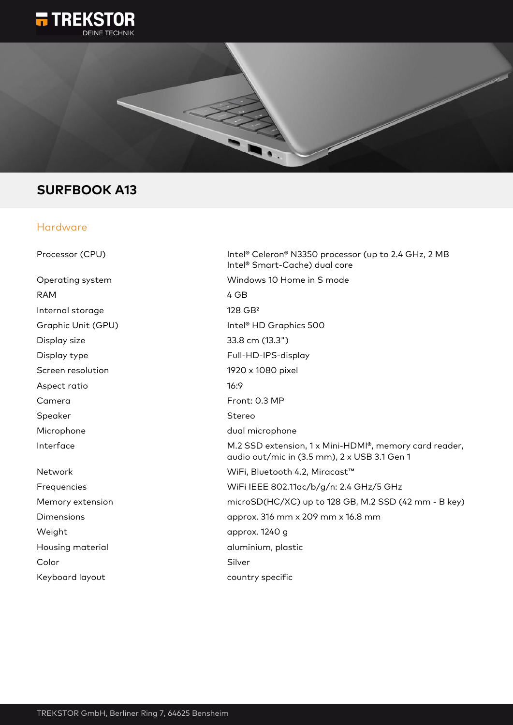



# **SURFBOOK A13**

#### Hardware

| Processor (CPU)    | Intel® Celeron® N3350 processor (up to 2.4 GHz, 2 MB<br>Intel <sup>®</sup> Smart-Cache) dual core      |
|--------------------|--------------------------------------------------------------------------------------------------------|
| Operating system   | Windows 10 Home in S mode                                                                              |
| <b>RAM</b>         | 4 GB                                                                                                   |
| Internal storage   | 128 GB <sup>2</sup>                                                                                    |
| Graphic Unit (GPU) | Intel <sup>®</sup> HD Graphics 500                                                                     |
| Display size       | 33.8 cm (13.3")                                                                                        |
| Display type       | Full-HD-IPS-display                                                                                    |
| Screen resolution  | 1920 x 1080 pixel                                                                                      |
| Aspect ratio       | 16:9                                                                                                   |
| Camera             | Front: 0.3 MP                                                                                          |
| Speaker            | Stereo                                                                                                 |
| Microphone         | dual microphone                                                                                        |
| Interface          | M.2 SSD extension, 1 x Mini-HDMI®, memory card reader,<br>audio out/mic in (3.5 mm), 2 x USB 3.1 Gen 1 |
| Network            | WiFi, Bluetooth 4.2, Miracast™                                                                         |
| Frequencies        | WiFi IEEE 802.11ac/b/g/n: 2.4 GHz/5 GHz                                                                |
| Memory extension   | microSD(HC/XC) up to 128 GB, M.2 SSD (42 mm - B key)                                                   |
| <b>Dimensions</b>  | approx. 316 mm x 209 mm x 16.8 mm                                                                      |
| Weight             | approx. 1240 g                                                                                         |
| Housing material   | aluminium, plastic                                                                                     |
| Color              | Silver                                                                                                 |
| Keyboard layout    | country specific                                                                                       |